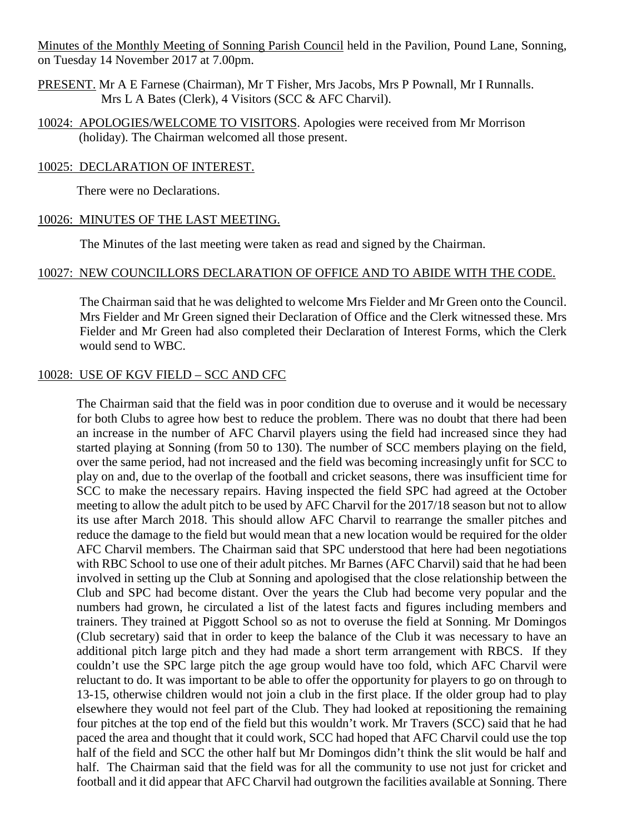Minutes of the Monthly Meeting of Sonning Parish Council held in the Pavilion, Pound Lane, Sonning, on Tuesday 14 November 2017 at 7.00pm.

- PRESENT. Mr A E Farnese (Chairman), Mr T Fisher, Mrs Jacobs, Mrs P Pownall, Mr I Runnalls. Mrs L A Bates (Clerk), 4 Visitors (SCC & AFC Charvil).
- 10024: APOLOGIES/WELCOME TO VISITORS. Apologies were received from Mr Morrison (holiday). The Chairman welcomed all those present.

#### 10025: DECLARATION OF INTEREST.

There were no Declarations.

### 10026: MINUTES OF THE LAST MEETING.

The Minutes of the last meeting were taken as read and signed by the Chairman.

## 10027: NEW COUNCILLORS DECLARATION OF OFFICE AND TO ABIDE WITH THE CODE.

The Chairman said that he was delighted to welcome Mrs Fielder and Mr Green onto the Council. Mrs Fielder and Mr Green signed their Declaration of Office and the Clerk witnessed these. Mrs Fielder and Mr Green had also completed their Declaration of Interest Forms, which the Clerk would send to WBC.

#### 10028: USE OF KGV FIELD – SCC AND CFC

The Chairman said that the field was in poor condition due to overuse and it would be necessary for both Clubs to agree how best to reduce the problem. There was no doubt that there had been an increase in the number of AFC Charvil players using the field had increased since they had started playing at Sonning (from 50 to 130). The number of SCC members playing on the field, over the same period, had not increased and the field was becoming increasingly unfit for SCC to play on and, due to the overlap of the football and cricket seasons, there was insufficient time for SCC to make the necessary repairs. Having inspected the field SPC had agreed at the October meeting to allow the adult pitch to be used by AFC Charvil for the 2017/18 season but not to allow its use after March 2018. This should allow AFC Charvil to rearrange the smaller pitches and reduce the damage to the field but would mean that a new location would be required for the older AFC Charvil members. The Chairman said that SPC understood that here had been negotiations with RBC School to use one of their adult pitches. Mr Barnes (AFC Charvil) said that he had been involved in setting up the Club at Sonning and apologised that the close relationship between the Club and SPC had become distant. Over the years the Club had become very popular and the numbers had grown, he circulated a list of the latest facts and figures including members and trainers. They trained at Piggott School so as not to overuse the field at Sonning. Mr Domingos (Club secretary) said that in order to keep the balance of the Club it was necessary to have an additional pitch large pitch and they had made a short term arrangement with RBCS. If they couldn't use the SPC large pitch the age group would have too fold, which AFC Charvil were reluctant to do. It was important to be able to offer the opportunity for players to go on through to 13-15, otherwise children would not join a club in the first place. If the older group had to play elsewhere they would not feel part of the Club. They had looked at repositioning the remaining four pitches at the top end of the field but this wouldn't work. Mr Travers (SCC) said that he had paced the area and thought that it could work, SCC had hoped that AFC Charvil could use the top half of the field and SCC the other half but Mr Domingos didn't think the slit would be half and half. The Chairman said that the field was for all the community to use not just for cricket and football and it did appear that AFC Charvil had outgrown the facilities available at Sonning. There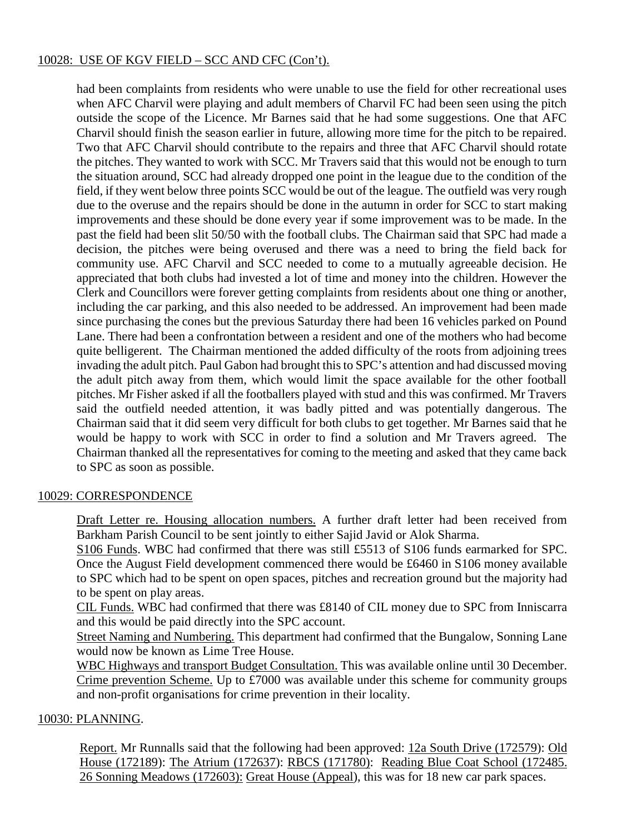# 10028: USE OF KGV FIELD – SCC AND CFC (Con't).

had been complaints from residents who were unable to use the field for other recreational uses when AFC Charvil were playing and adult members of Charvil FC had been seen using the pitch outside the scope of the Licence. Mr Barnes said that he had some suggestions. One that AFC Charvil should finish the season earlier in future, allowing more time for the pitch to be repaired. Two that AFC Charvil should contribute to the repairs and three that AFC Charvil should rotate the pitches. They wanted to work with SCC. Mr Travers said that this would not be enough to turn the situation around, SCC had already dropped one point in the league due to the condition of the field, if they went below three points SCC would be out of the league. The outfield was very rough due to the overuse and the repairs should be done in the autumn in order for SCC to start making improvements and these should be done every year if some improvement was to be made. In the past the field had been slit 50/50 with the football clubs. The Chairman said that SPC had made a decision, the pitches were being overused and there was a need to bring the field back for community use. AFC Charvil and SCC needed to come to a mutually agreeable decision. He appreciated that both clubs had invested a lot of time and money into the children. However the Clerk and Councillors were forever getting complaints from residents about one thing or another, including the car parking, and this also needed to be addressed. An improvement had been made since purchasing the cones but the previous Saturday there had been 16 vehicles parked on Pound Lane. There had been a confrontation between a resident and one of the mothers who had become quite belligerent. The Chairman mentioned the added difficulty of the roots from adjoining trees invading the adult pitch. Paul Gabon had brought this to SPC's attention and had discussed moving the adult pitch away from them, which would limit the space available for the other football pitches. Mr Fisher asked if all the footballers played with stud and this was confirmed. Mr Travers said the outfield needed attention, it was badly pitted and was potentially dangerous. The Chairman said that it did seem very difficult for both clubs to get together. Mr Barnes said that he would be happy to work with SCC in order to find a solution and Mr Travers agreed. The Chairman thanked all the representatives for coming to the meeting and asked that they came back to SPC as soon as possible.

## 10029: CORRESPONDENCE

Draft Letter re. Housing allocation numbers. A further draft letter had been received from Barkham Parish Council to be sent jointly to either Sajid Javid or Alok Sharma.

S106 Funds. WBC had confirmed that there was still £5513 of S106 funds earmarked for SPC. Once the August Field development commenced there would be £6460 in S106 money available to SPC which had to be spent on open spaces, pitches and recreation ground but the majority had to be spent on play areas.

CIL Funds. WBC had confirmed that there was £8140 of CIL money due to SPC from Inniscarra and this would be paid directly into the SPC account.

Street Naming and Numbering. This department had confirmed that the Bungalow, Sonning Lane would now be known as Lime Tree House.

WBC Highways and transport Budget Consultation. This was available online until 30 December. Crime prevention Scheme. Up to £7000 was available under this scheme for community groups and non-profit organisations for crime prevention in their locality.

## 10030: PLANNING.

Report. Mr Runnalls said that the following had been approved: 12a South Drive (172579): Old House (172189): The Atrium (172637): RBCS (171780): Reading Blue Coat School (172485. 26 Sonning Meadows (172603): Great House (Appeal), this was for 18 new car park spaces.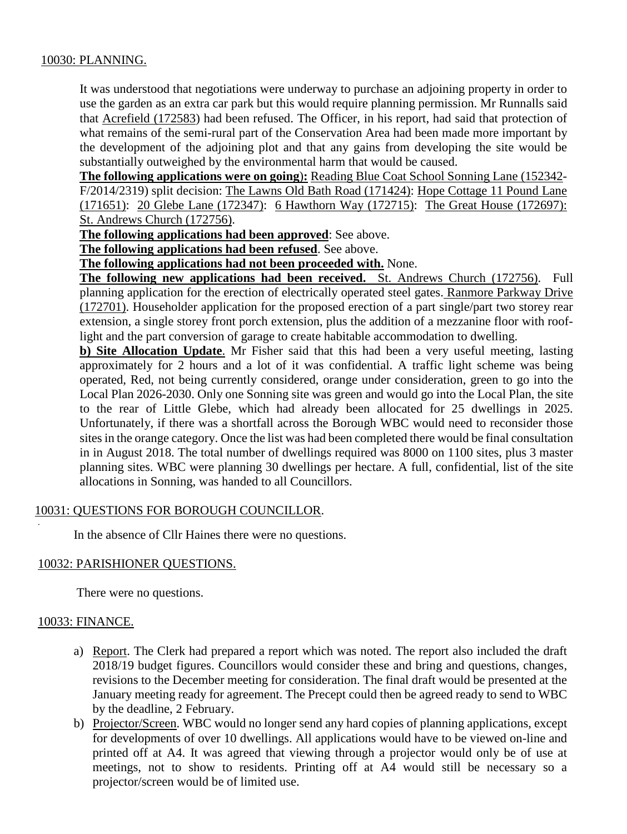## 10030: PLANNING.

It was understood that negotiations were underway to purchase an adjoining property in order to use the garden as an extra car park but this would require planning permission. Mr Runnalls said that Acrefield (172583) had been refused. The Officer, in his report, had said that protection of what remains of the semi-rural part of the Conservation Area had been made more important by the development of the adjoining plot and that any gains from developing the site would be substantially outweighed by the environmental harm that would be caused.

**The following applications were on going**)**:** Reading Blue Coat School Sonning Lane (152342- F/2014/2319) split decision: The Lawns Old Bath Road (171424): Hope Cottage 11 Pound Lane (171651): 20 Glebe Lane (172347): 6 Hawthorn Way (172715): The Great House (172697): St. Andrews Church (172756).

**The following applications had been approved**: See above.

**The following applications had been refused**. See above.

**The following applications had not been proceeded with.** None.

**The following new applications had been received.** St. Andrews Church (172756). Full planning application for the erection of electrically operated steel gates. Ranmore Parkway Drive (172701). Householder application for the proposed erection of a part single/part two storey rear extension, a single storey front porch extension, plus the addition of a mezzanine floor with rooflight and the part conversion of garage to create habitable accommodation to dwelling.

**b) Site Allocation Update**. Mr Fisher said that this had been a very useful meeting, lasting approximately for 2 hours and a lot of it was confidential. A traffic light scheme was being operated, Red, not being currently considered, orange under consideration, green to go into the Local Plan 2026-2030. Only one Sonning site was green and would go into the Local Plan, the site to the rear of Little Glebe, which had already been allocated for 25 dwellings in 2025. Unfortunately, if there was a shortfall across the Borough WBC would need to reconsider those sites in the orange category. Once the list was had been completed there would be final consultation in in August 2018. The total number of dwellings required was 8000 on 1100 sites, plus 3 master planning sites. WBC were planning 30 dwellings per hectare. A full, confidential, list of the site allocations in Sonning, was handed to all Councillors.

## 10031: QUESTIONS FOR BOROUGH COUNCILLOR.

In the absence of Cllr Haines there were no questions.

## 10032: PARISHIONER QUESTIONS.

There were no questions.

## 10033: FINANCE.

.

- a) Report. The Clerk had prepared a report which was noted. The report also included the draft 2018/19 budget figures. Councillors would consider these and bring and questions, changes, revisions to the December meeting for consideration. The final draft would be presented at the January meeting ready for agreement. The Precept could then be agreed ready to send to WBC by the deadline, 2 February.
- b) Projector/Screen. WBC would no longer send any hard copies of planning applications, except for developments of over 10 dwellings. All applications would have to be viewed on-line and printed off at A4. It was agreed that viewing through a projector would only be of use at meetings, not to show to residents. Printing off at A4 would still be necessary so a projector/screen would be of limited use.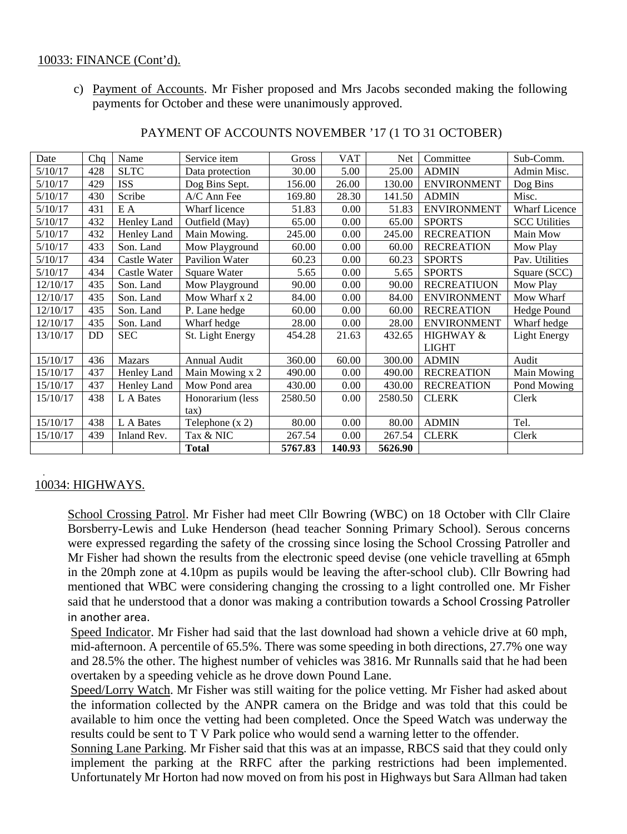## 10033: FINANCE (Cont'd).

c) Payment of Accounts. Mr Fisher proposed and Mrs Jacobs seconded making the following payments for October and these were unanimously approved.

| Date     | Chq | Name          | Service item        | Gross   | <b>VAT</b> | <b>Net</b> | Committee            | Sub-Comm.            |
|----------|-----|---------------|---------------------|---------|------------|------------|----------------------|----------------------|
| 5/10/17  | 428 | <b>SLTC</b>   | Data protection     | 30.00   | 5.00       | 25.00      | <b>ADMIN</b>         | Admin Misc.          |
| 5/10/17  | 429 | <b>ISS</b>    | Dog Bins Sept.      | 156.00  | 26.00      | 130.00     | <b>ENVIRONMENT</b>   | Dog Bins             |
| 5/10/17  | 430 | Scribe        | A/C Ann Fee         | 169.80  | 28.30      | 141.50     | <b>ADMIN</b>         | Misc.                |
| 5/10/17  | 431 | E A           | Wharf licence       | 51.83   | 0.00       | 51.83      | <b>ENVIRONMENT</b>   | <b>Wharf Licence</b> |
| 5/10/17  | 432 | Henley Land   | Outfield (May)      | 65.00   | 0.00       | 65.00      | <b>SPORTS</b>        | <b>SCC Utilities</b> |
| 5/10/17  | 432 | Henley Land   | Main Mowing.        | 245.00  | 0.00       | 245.00     | <b>RECREATION</b>    | Main Mow             |
| 5/10/17  | 433 | Son. Land     | Mow Playground      | 60.00   | 0.00       | 60.00      | <b>RECREATION</b>    | Mow Play             |
| 5/10/17  | 434 | Castle Water  | Pavilion Water      | 60.23   | 0.00       | 60.23      | <b>SPORTS</b>        | Pav. Utilities       |
| 5/10/17  | 434 | Castle Water  | Square Water        | 5.65    | 0.00       | 5.65       | <b>SPORTS</b>        | Square (SCC)         |
| 12/10/17 | 435 | Son. Land     | Mow Playground      | 90.00   | 0.00       | 90.00      | <b>RECREATIUON</b>   | Mow Play             |
| 12/10/17 | 435 | Son. Land     | Mow Wharf x 2       | 84.00   | 0.00       | 84.00      | <b>ENVIRONMENT</b>   | Mow Wharf            |
| 12/10/17 | 435 | Son. Land     | P. Lane hedge       | 60.00   | 0.00       | 60.00      | <b>RECREATION</b>    | Hedge Pound          |
| 12/10/17 | 435 | Son. Land     | Wharf hedge         | 28.00   | 0.00       | 28.00      | <b>ENVIRONMENT</b>   | Wharf hedge          |
| 13/10/17 | DD  | <b>SEC</b>    | St. Light Energy    | 454.28  | 21.63      | 432.65     | <b>HIGHWAY &amp;</b> | <b>Light Energy</b>  |
|          |     |               |                     |         |            |            | <b>LIGHT</b>         |                      |
| 15/10/17 | 436 | <b>Mazars</b> | <b>Annual Audit</b> | 360.00  | 60.00      | 300.00     | <b>ADMIN</b>         | Audit                |
| 15/10/17 | 437 | Henley Land   | Main Mowing x 2     | 490.00  | 0.00       | 490.00     | <b>RECREATION</b>    | Main Mowing          |
| 15/10/17 | 437 | Henley Land   | Mow Pond area       | 430.00  | 0.00       | 430.00     | <b>RECREATION</b>    | Pond Mowing          |
| 15/10/17 | 438 | L A Bates     | Honorarium (less    | 2580.50 | 0.00       | 2580.50    | <b>CLERK</b>         | Clerk                |
|          |     |               | $\tan$ )            |         |            |            |                      |                      |
| 15/10/17 | 438 | L A Bates     | Telephone $(x 2)$   | 80.00   | 0.00       | 80.00      | <b>ADMIN</b>         | Tel.                 |
| 15/10/17 | 439 | Inland Rev.   | Tax & NIC           | 267.54  | 0.00       | 267.54     | <b>CLERK</b>         | Clerk                |
|          |     |               | <b>Total</b>        | 5767.83 | 140.93     | 5626.90    |                      |                      |

#### PAYMENT OF ACCOUNTS NOVEMBER '17 (1 TO 31 OCTOBER)

#### . 10034: HIGHWAYS.

School Crossing Patrol. Mr Fisher had meet Cllr Bowring (WBC) on 18 October with Cllr Claire Borsberry-Lewis and Luke Henderson (head teacher Sonning Primary School). Serous concerns were expressed regarding the safety of the crossing since losing the School Crossing Patroller and Mr Fisher had shown the results from the electronic speed devise (one vehicle travelling at 65mph in the 20mph zone at 4.10pm as pupils would be leaving the after-school club). Cllr Bowring had mentioned that WBC were considering changing the crossing to a light controlled one. Mr Fisher said that he understood that a donor was making a contribution towards a School Crossing Patroller in another area.

Speed Indicator. Mr Fisher had said that the last download had shown a vehicle drive at 60 mph, mid-afternoon. A percentile of 65.5%. There was some speeding in both directions, 27.7% one way and 28.5% the other. The highest number of vehicles was 3816. Mr Runnalls said that he had been overtaken by a speeding vehicle as he drove down Pound Lane.

Speed/Lorry Watch. Mr Fisher was still waiting for the police vetting. Mr Fisher had asked about the information collected by the ANPR camera on the Bridge and was told that this could be available to him once the vetting had been completed. Once the Speed Watch was underway the results could be sent to T V Park police who would send a warning letter to the offender.

Sonning Lane Parking. Mr Fisher said that this was at an impasse, RBCS said that they could only implement the parking at the RRFC after the parking restrictions had been implemented. Unfortunately Mr Horton had now moved on from his post in Highways but Sara Allman had taken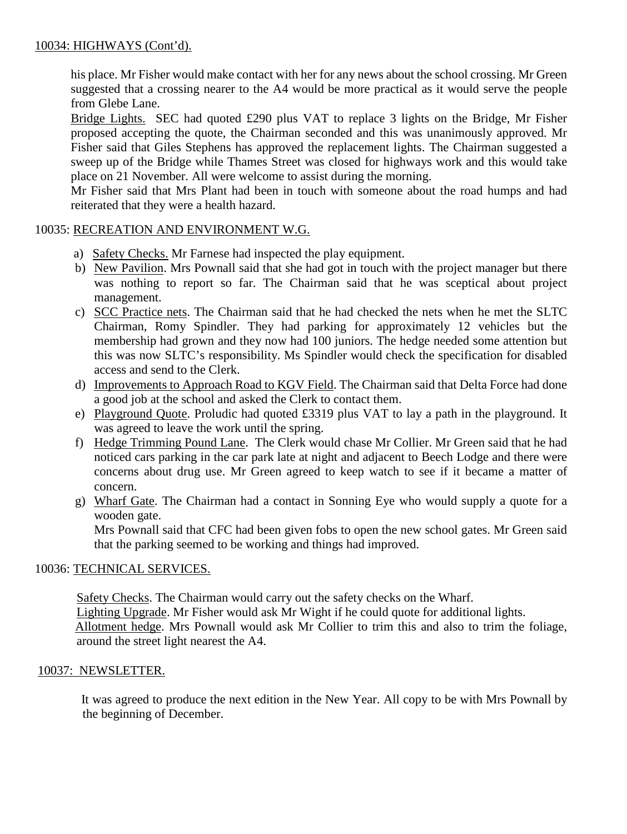## 10034: HIGHWAYS (Cont'd).

his place. Mr Fisher would make contact with her for any news about the school crossing. Mr Green suggested that a crossing nearer to the A4 would be more practical as it would serve the people from Glebe Lane.

Bridge Lights. SEC had quoted £290 plus VAT to replace 3 lights on the Bridge, Mr Fisher proposed accepting the quote, the Chairman seconded and this was unanimously approved. Mr Fisher said that Giles Stephens has approved the replacement lights. The Chairman suggested a sweep up of the Bridge while Thames Street was closed for highways work and this would take place on 21 November. All were welcome to assist during the morning.

Mr Fisher said that Mrs Plant had been in touch with someone about the road humps and had reiterated that they were a health hazard.

## 10035: RECREATION AND ENVIRONMENT W.G.

- a) Safety Checks. Mr Farnese had inspected the play equipment.
- b) New Pavilion. Mrs Pownall said that she had got in touch with the project manager but there was nothing to report so far. The Chairman said that he was sceptical about project management.
- c) SCC Practice nets. The Chairman said that he had checked the nets when he met the SLTC Chairman, Romy Spindler. They had parking for approximately 12 vehicles but the membership had grown and they now had 100 juniors. The hedge needed some attention but this was now SLTC's responsibility. Ms Spindler would check the specification for disabled access and send to the Clerk.
- d) Improvements to Approach Road to KGV Field. The Chairman said that Delta Force had done a good job at the school and asked the Clerk to contact them.
- e) Playground Quote. Proludic had quoted £3319 plus VAT to lay a path in the playground. It was agreed to leave the work until the spring.
- f) Hedge Trimming Pound Lane. The Clerk would chase Mr Collier. Mr Green said that he had noticed cars parking in the car park late at night and adjacent to Beech Lodge and there were concerns about drug use. Mr Green agreed to keep watch to see if it became a matter of concern.
- g) Wharf Gate. The Chairman had a contact in Sonning Eye who would supply a quote for a wooden gate.

Mrs Pownall said that CFC had been given fobs to open the new school gates. Mr Green said that the parking seemed to be working and things had improved.

## 10036: TECHNICAL SERVICES.

Safety Checks. The Chairman would carry out the safety checks on the Wharf.

Lighting Upgrade. Mr Fisher would ask Mr Wight if he could quote for additional lights. Allotment hedge. Mrs Pownall would ask Mr Collier to trim this and also to trim the foliage,

around the street light nearest the A4.

## 10037: NEWSLETTER.

 It was agreed to produce the next edition in the New Year. All copy to be with Mrs Pownall by the beginning of December.